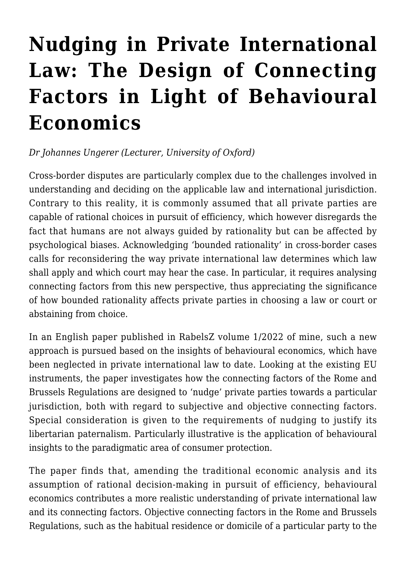## **[Nudging in Private International](https://conflictoflaws.net/2022/nudging-in-private-international-law-the-design-of-connecting-factors-in-light-of-behavioural-economics/) [Law: The Design of Connecting](https://conflictoflaws.net/2022/nudging-in-private-international-law-the-design-of-connecting-factors-in-light-of-behavioural-economics/) [Factors in Light of Behavioural](https://conflictoflaws.net/2022/nudging-in-private-international-law-the-design-of-connecting-factors-in-light-of-behavioural-economics/) [Economics](https://conflictoflaws.net/2022/nudging-in-private-international-law-the-design-of-connecting-factors-in-light-of-behavioural-economics/)**

## *Dr Johannes Ungerer (Lecturer, University of Oxford)*

Cross-border disputes are particularly complex due to the challenges involved in understanding and deciding on the applicable law and international jurisdiction. Contrary to this reality, it is commonly assumed that all private parties are capable of rational choices in pursuit of efficiency, which however disregards the fact that humans are not always guided by rationality but can be affected by psychological biases. Acknowledging 'bounded rationality' in cross-border cases calls for reconsidering the way private international law determines which law shall apply and which court may hear the case. In particular, it requires analysing connecting factors from this new perspective, thus appreciating the significance of how bounded rationality affects private parties in choosing a law or court or abstaining from choice.

[In an English paper published in RabelsZ volume 1/2022](https://doi.org/10.1628/rabelsz-2022-0002) of mine, such a new approach is pursued based on the insights of behavioural economics, which have been neglected in private international law to date. Looking at the existing EU instruments, the paper investigates how the connecting factors of the Rome and Brussels Regulations are designed to 'nudge' private parties towards a particular jurisdiction, both with regard to subjective and objective connecting factors. Special consideration is given to the requirements of nudging to justify its libertarian paternalism. Particularly illustrative is the application of behavioural insights to the paradigmatic area of consumer protection.

The paper finds that, amending the traditional economic analysis and its assumption of rational decision-making in pursuit of efficiency, behavioural economics contributes a more realistic understanding of private international law and its connecting factors. Objective connecting factors in the Rome and Brussels Regulations, such as the habitual residence or domicile of a particular party to the